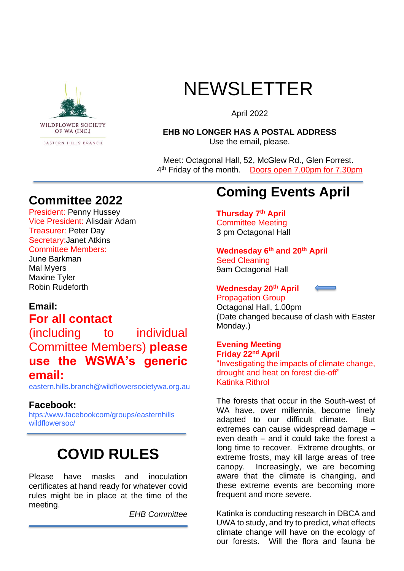

# NEWSLETTER

April 2022

#### **EHB NO LONGER HAS A POSTAL ADDRESS** Use the email, please.

 Meet: Octagonal Hall, 52, McGlew Rd., Glen Forrest. 4<sup>th</sup> Friday of the month. Doors open 7.00pm for 7.30pm

### **Committee 2022**

President: Penny Hussey Vice President: Alisdair Adam Treasurer: Peter Day Secretary:Janet Atkins Committee Members:

June Barkman Mal Myers Maxine Tyler Robin Rudeforth

#### **Email: For all contact**

(including to individual Committee Members) **please use the WSWA's generic email:**

eastern.hills.branch@wildflowersocietywa.org.au

#### **Facebook:**

htps:/www.facebookcom/groups/easternhills wildflowersoc/

## **COVID RULES**

Please have masks and inoculation certificates at hand ready for whatever covid rules might be in place at the time of the meeting.

*EHB Committee*

## **Coming Events April**

#### **Thursday 7th April** Committee Meeting 3 pm Octagonal Hall

**Wednesday 6th and 20th April** Seed Cleaning

9am Octagonal Hall

#### **Wednesday 20th April**

Propagation Group Octagonal Hall, 1.00pm (Date changed because of clash with Easter Monday.)

#### **Evening Meeting**

**Friday 22nd April** "Investigating the impacts of climate change, drought and heat on forest die-off" Katinka Rithrol

The forests that occur in the South-west of WA have, over millennia, become finely adapted to our difficult climate. But extremes can cause widespread damage – even death – and it could take the forest a long time to recover. Extreme droughts, or extreme frosts, may kill large areas of tree canopy. Increasingly, we are becoming aware that the climate is changing, and these extreme events are becoming more frequent and more severe.

Katinka is conducting research in DBCA and UWA to study, and try to predict, what effects climate change will have on the ecology of our forests. Will the flora and fauna be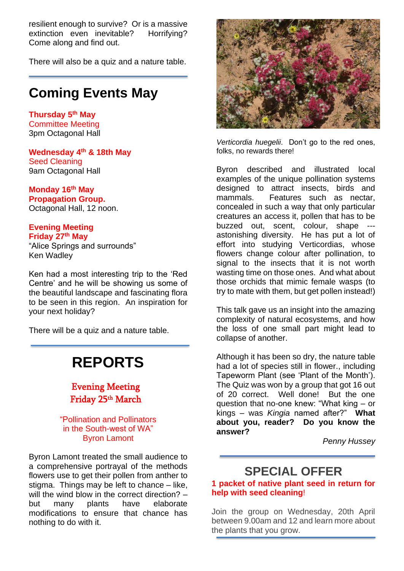resilient enough to survive? Or is a massive extinction even inevitable? Horrifying? Come along and find out.

There will also be a quiz and a nature table.

### **Coming Events May**

**Thursday 5 th May** Committee Meeting 3pm Octagonal Hall

**Wednesday 4 th & 18th May** Seed Cleaning 9am Octagonal Hall

**Monday 16th May Propagation Group.**  Octagonal Hall, 12 noon.

#### **Evening Meeting Friday 27th May**

"Alice Springs and surrounds" Ken Wadley

Ken had a most interesting trip to the 'Red Centre' and he will be showing us some of the beautiful landscape and fascinating flora to be seen in this region. An inspiration for your next holiday?

There will be a quiz and a nature table.

## **REPORTS**

Evening Meeting Friday 25<sup>th</sup> March

"Pollination and Pollinators in the South-west of WA" Byron Lamont

Byron Lamont treated the small audience to a comprehensive portrayal of the methods flowers use to get their pollen from anther to stigma. Things may be left to chance – like, will the wind blow in the correct direction? but many plants have elaborate modifications to ensure that chance has nothing to do with it.



*Verticordia huegelii*. Don't go to the red ones, folks, no rewards there!

Byron described and illustrated local examples of the unique pollination systems designed to attract insects, birds and mammals. Features such as nectar, concealed in such a way that only particular creatures an access it, pollen that has to be buzzed out, scent, colour, shape -- astonishing diversity. He has put a lot of effort into studying Verticordias, whose flowers change colour after pollination, to signal to the insects that it is not worth wasting time on those ones. And what about those orchids that mimic female wasps (to try to mate with them, but get pollen instead!)

This talk gave us an insight into the amazing complexity of natural ecosystems, and how the loss of one small part might lead to collapse of another.

Although it has been so dry, the nature table had a lot of species still in flower., including Tapeworm Plant (see 'Plant of the Month'). The Quiz was won by a group that got 16 out of 20 correct. Well done! But the one question that no-one knew: "What king – or kings – was *Kingia* named after?" **What about you, reader? Do you know the answer?**

*Penny Hussey*

## **SPECIAL OFFER**

**1 packet of native plant seed in return for help with seed cleaning**!

Join the group on Wednesday, 20th April between 9.00am and 12 and learn more about the plants that you grow.